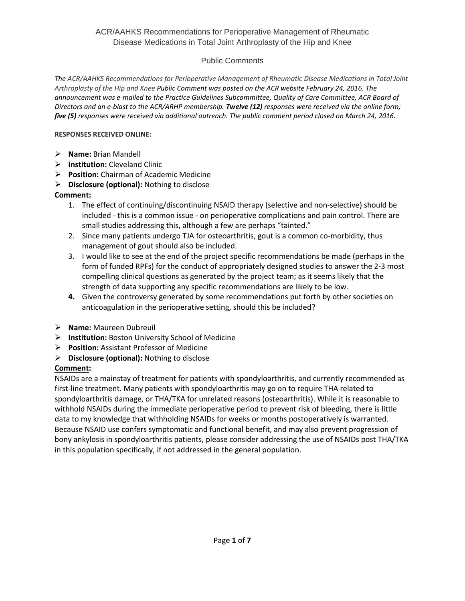## Public Comments

*The ACR/AAHKS Recommendations for Perioperative Management of Rheumatic Disease Medications in Total Joint Arthroplasty of the Hip and Knee Public Comment was posted on the ACR website February 24, 2016. The announcement was e-mailed to the Practice Guidelines Subcommittee, Quality of Care Committee, ACR Board of Directors and an e-blast to the ACR/ARHP membership. Twelve (12) responses were received via the online form; five (5) responses were received via additional outreach. The public comment period closed on March 24, 2016.*

#### **RESPONSES RECEIVED ONLINE:**

- **Name:** Brian Mandell
- **Institution:** Cleveland Clinic
- **Position:** Chairman of Academic Medicine
- **Disclosure (optional):** Nothing to disclose

## **Comment:**

- 1. The effect of continuing/discontinuing NSAID therapy (selective and non-selective) should be included - this is a common issue - on perioperative complications and pain control. There are small studies addressing this, although a few are perhaps "tainted."
- 2. Since many patients undergo TJA for osteoarthritis, gout is a common co-morbidity, thus management of gout should also be included.
- 3. I would like to see at the end of the project specific recommendations be made (perhaps in the form of funded RPFs) for the conduct of appropriately designed studies to answer the 2-3 most compelling clinical questions as generated by the project team; as it seems likely that the strength of data supporting any specific recommendations are likely to be low.
- **4.** Given the controversy generated by some recommendations put forth by other societies on anticoagulation in the perioperative setting, should this be included?
- **Name:** Maureen Dubreuil
- **Institution:** Boston University School of Medicine
- **Position:** Assistant Professor of Medicine
- **Disclosure (optional):** Nothing to disclose

# **Comment:**

NSAIDs are a mainstay of treatment for patients with spondyloarthritis, and currently recommended as first-line treatment. Many patients with spondyloarthritis may go on to require THA related to spondyloarthritis damage, or THA/TKA for unrelated reasons (osteoarthritis). While it is reasonable to withhold NSAIDs during the immediate perioperative period to prevent risk of bleeding, there is little data to my knowledge that withholding NSAIDs for weeks or months postoperatively is warranted. Because NSAID use confers symptomatic and functional benefit, and may also prevent progression of bony ankylosis in spondyloarthritis patients, please consider addressing the use of NSAIDs post THA/TKA in this population specifically, if not addressed in the general population.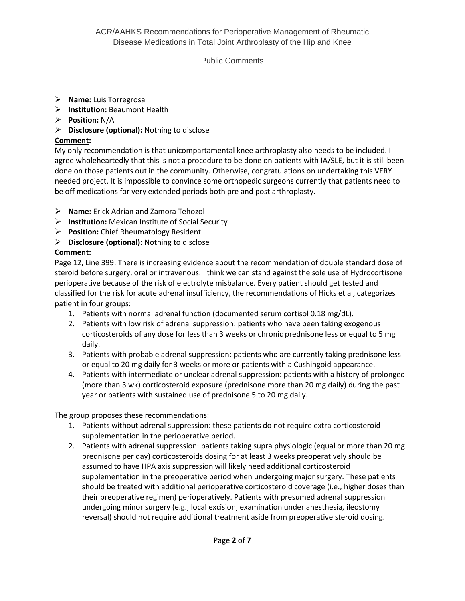## Public Comments

- **Name:** Luis Torregrosa
- **Institution:** Beaumont Health
- **Position:** N/A
- **Disclosure (optional):** Nothing to disclose

## **Comment:**

My only recommendation is that unicompartamental knee arthroplasty also needs to be included. I agree wholeheartedly that this is not a procedure to be done on patients with IA/SLE, but it is still been done on those patients out in the community. Otherwise, congratulations on undertaking this VERY needed project. It is impossible to convince some orthopedic surgeons currently that patients need to be off medications for very extended periods both pre and post arthroplasty.

- **Name:** Erick Adrian and Zamora Tehozol
- **Institution:** Mexican Institute of Social Security
- **Position:** Chief Rheumatology Resident
- **Disclosure (optional):** Nothing to disclose

## **Comment:**

Page 12, Line 399. There is increasing evidence about the recommendation of double standard dose of steroid before surgery, oral or intravenous. I think we can stand against the sole use of Hydrocortisone perioperative because of the risk of electrolyte misbalance. Every patient should get tested and classified for the risk for acute adrenal insufficiency, the recommendations of Hicks et al, categorizes patient in four groups:

- 1. Patients with normal adrenal function (documented serum cortisol 0.18 mg/dL).
- 2. Patients with low risk of adrenal suppression: patients who have been taking exogenous corticosteroids of any dose for less than 3 weeks or chronic prednisone less or equal to 5 mg daily.
- 3. Patients with probable adrenal suppression: patients who are currently taking prednisone less or equal to 20 mg daily for 3 weeks or more or patients with a Cushingoid appearance.
- 4. Patients with intermediate or unclear adrenal suppression: patients with a history of prolonged (more than 3 wk) corticosteroid exposure (prednisone more than 20 mg daily) during the past year or patients with sustained use of prednisone 5 to 20 mg daily.

The group proposes these recommendations:

- 1. Patients without adrenal suppression: these patients do not require extra corticosteroid supplementation in the perioperative period.
- 2. Patients with adrenal suppression: patients taking supra physiologic (equal or more than 20 mg prednisone per day) corticosteroids dosing for at least 3 weeks preoperatively should be assumed to have HPA axis suppression will likely need additional corticosteroid supplementation in the preoperative period when undergoing major surgery. These patients should be treated with additional perioperative corticosteroid coverage (i.e., higher doses than their preoperative regimen) perioperatively. Patients with presumed adrenal suppression undergoing minor surgery (e.g., local excision, examination under anesthesia, ileostomy reversal) should not require additional treatment aside from preoperative steroid dosing.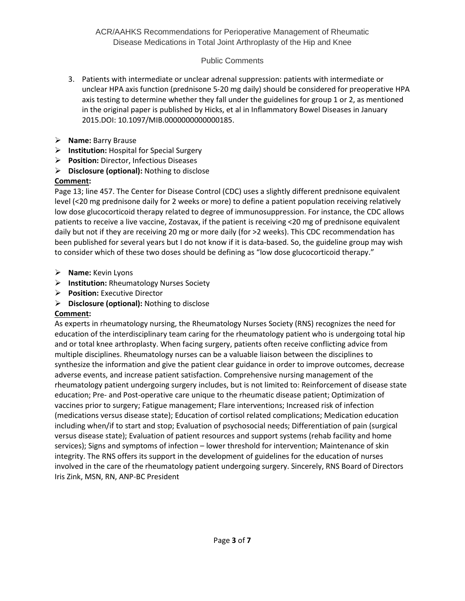# Public Comments

- 3. Patients with intermediate or unclear adrenal suppression: patients with intermediate or unclear HPA axis function (prednisone 5-20 mg daily) should be considered for preoperative HPA axis testing to determine whether they fall under the guidelines for group 1 or 2, as mentioned in the original paper is published by Hicks, et al in Inflammatory Bowel Diseases in January 2015.DOI: 10.1097/MIB.0000000000000185.
- **Name:** Barry Brause
- **Institution:** Hospital for Special Surgery
- **Position:** Director, Infectious Diseases
- **Disclosure (optional):** Nothing to disclose

## **Comment:**

Page 13; line 457. The Center for Disease Control (CDC) uses a slightly different prednisone equivalent level (<20 mg prednisone daily for 2 weeks or more) to define a patient population receiving relatively low dose glucocorticoid therapy related to degree of immunosuppression. For instance, the CDC allows patients to receive a live vaccine, Zostavax, if the patient is receiving <20 mg of prednisone equivalent daily but not if they are receiving 20 mg or more daily (for >2 weeks). This CDC recommendation has been published for several years but I do not know if it is data-based. So, the guideline group may wish to consider which of these two doses should be defining as "low dose glucocorticoid therapy."

- **Name:** Kevin Lyons
- **Institution:** Rheumatology Nurses Society
- **Position:** Executive Director
- **Disclosure (optional):** Nothing to disclose

#### **Comment:**

As experts in rheumatology nursing, the Rheumatology Nurses Society (RNS) recognizes the need for education of the interdisciplinary team caring for the rheumatology patient who is undergoing total hip and or total knee arthroplasty. When facing surgery, patients often receive conflicting advice from multiple disciplines. Rheumatology nurses can be a valuable liaison between the disciplines to synthesize the information and give the patient clear guidance in order to improve outcomes, decrease adverse events, and increase patient satisfaction. Comprehensive nursing management of the rheumatology patient undergoing surgery includes, but is not limited to: Reinforcement of disease state education; Pre- and Post-operative care unique to the rheumatic disease patient; Optimization of vaccines prior to surgery; Fatigue management; Flare interventions; Increased risk of infection (medications versus disease state); Education of cortisol related complications; Medication education including when/if to start and stop; Evaluation of psychosocial needs; Differentiation of pain (surgical versus disease state); Evaluation of patient resources and support systems (rehab facility and home services); Signs and symptoms of infection – lower threshold for intervention; Maintenance of skin integrity. The RNS offers its support in the development of guidelines for the education of nurses involved in the care of the rheumatology patient undergoing surgery. Sincerely, RNS Board of Directors Iris Zink, MSN, RN, ANP-BC President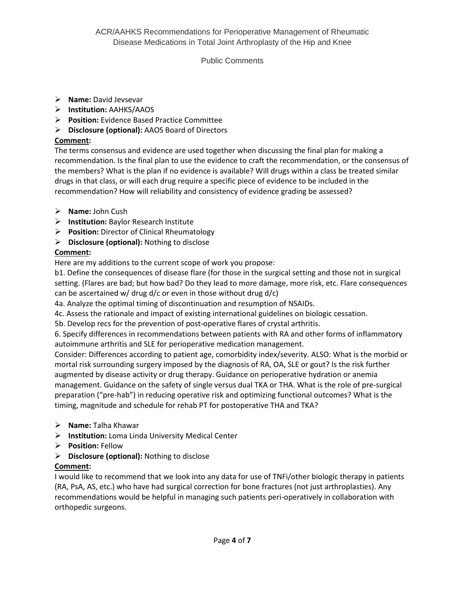## Public Comments

- **Name:** David Jevsevar
- **Institution:** AAHKS/AAOS
- **Position:** Evidence Based Practice Committee
- **Disclosure (optional):** AAOS Board of Directors

## **Comment:**

The terms consensus and evidence are used together when discussing the final plan for making a recommendation. Is the final plan to use the evidence to craft the recommendation, or the consensus of the members? What is the plan if no evidence is available? Will drugs within a class be treated similar drugs in that class, or will each drug require a specific piece of evidence to be included in the recommendation? How will reliability and consistency of evidence grading be assessed?

- **Name:** John Cush
- **Institution:** Baylor Research Institute
- **Position:** Director of Clinical Rheumatology
- **Disclosure (optional):** Nothing to disclose

# **Comment:**

Here are my additions to the current scope of work you propose:

b1. Define the consequences of disease flare (for those in the surgical setting and those not in surgical setting. (Flares are bad; but how bad? Do they lead to more damage, more risk, etc. Flare consequences can be ascertained w/ drug d/c or even in those without drug d/c)

4a. Analyze the optimal timing of discontinuation and resumption of NSAIDs.

4c. Assess the rationale and impact of existing international guidelines on biologic cessation.

5b. Develop recs for the prevention of post-operative flares of crystal arthritis.

6. Specify differences in recommendations between patients with RA and other forms of inflammatory autoimmune arthritis and SLE for perioperative medication management.

Consider: Differences according to patient age, comorbidity index/severity. ALSO: What is the morbid or mortal risk surrounding surgery imposed by the diagnosis of RA, OA, SLE or gout? Is the risk further augmented by disease activity or drug therapy. Guidance on perioperative hydration or anemia management. Guidance on the safety of single versus dual TKA or THA. What is the role of pre-surgical preparation ("pre-hab") in reducing operative risk and optimizing functional outcomes? What is the timing, magnitude and schedule for rehab PT for postoperative THA and TKA?

- **Name:** Talha Khawar
- **Institution:** Loma Linda University Medical Center
- **Position:** Fellow
- **Disclosure (optional):** Nothing to disclose

# **Comment:**

I would like to recommend that we look into any data for use of TNFi/other biologic therapy in patients (RA, PsA, AS, etc.) who have had surgical correction for bone fractures (not just arthroplasties). Any recommendations would be helpful in managing such patients peri-operatively in collaboration with orthopedic surgeons.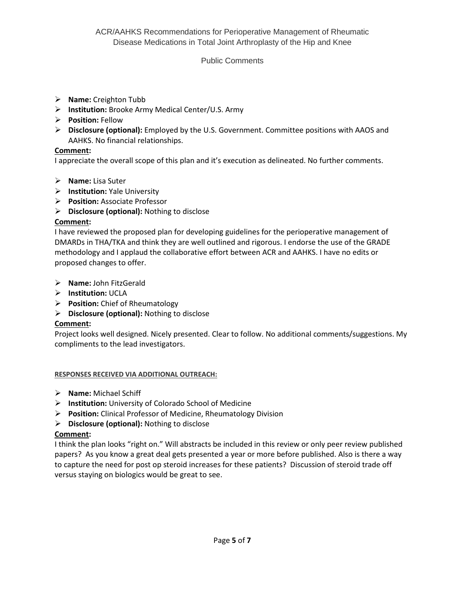## Public Comments

- **Name:** Creighton Tubb
- **Institution:** Brooke Army Medical Center/U.S. Army
- **Position:** Fellow
- **Disclosure (optional):** Employed by the U.S. Government. Committee positions with AAOS and AAHKS. No financial relationships.

#### **Comment:**

I appreciate the overall scope of this plan and it's execution as delineated. No further comments.

- **Name:** Lisa Suter
- **Institution:** Yale University
- **Position:** Associate Professor
- **Disclosure (optional):** Nothing to disclose

## **Comment:**

I have reviewed the proposed plan for developing guidelines for the perioperative management of DMARDs in THA/TKA and think they are well outlined and rigorous. I endorse the use of the GRADE methodology and I applaud the collaborative effort between ACR and AAHKS. I have no edits or proposed changes to offer.

- **Name:** John FitzGerald
- **Institution:** UCLA
- **Position:** Chief of Rheumatology
- **Disclosure (optional):** Nothing to disclose

# **Comment:**

Project looks well designed. Nicely presented. Clear to follow. No additional comments/suggestions. My compliments to the lead investigators.

#### **RESPONSES RECEIVED VIA ADDITIONAL OUTREACH:**

- **Name:** Michael Schiff
- **Institution:** University of Colorado School of Medicine
- **Position:** Clinical Professor of Medicine, Rheumatology Division
- **Disclosure (optional):** Nothing to disclose

# **Comment:**

I think the plan looks "right on." Will abstracts be included in this review or only peer review published papers? As you know a great deal gets presented a year or more before published. Also is there a way to capture the need for post op steroid increases for these patients? Discussion of steroid trade off versus staying on biologics would be great to see.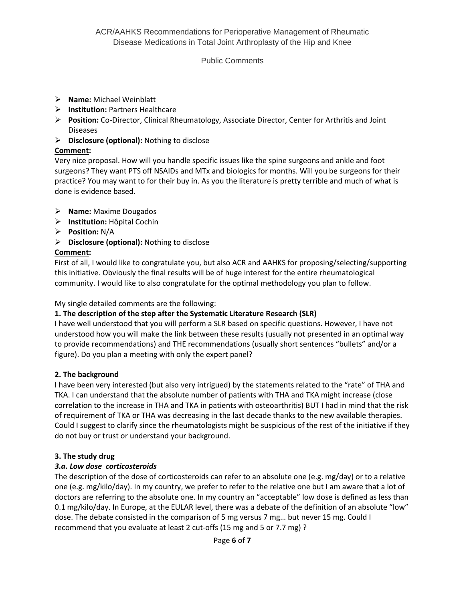## Public Comments

- **Name:** Michael Weinblatt
- **Institution:** Partners Healthcare
- **Position:** Co-Director, Clinical Rheumatology, Associate Director, Center for Arthritis and Joint Diseases
- **Disclosure (optional):** Nothing to disclose

## **Comment:**

Very nice proposal. How will you handle specific issues like the spine surgeons and ankle and foot surgeons? They want PTS off NSAIDs and MTx and biologics for months. Will you be surgeons for their practice? You may want to for their buy in. As you the literature is pretty terrible and much of what is done is evidence based.

- **Name:** Maxime Dougados
- **Institution:** Hôpital Cochin
- **Position:** N/A
- **Disclosure (optional):** Nothing to disclose

# **Comment:**

First of all, I would like to congratulate you, but also ACR and AAHKS for proposing/selecting/supporting this initiative. Obviously the final results will be of huge interest for the entire rheumatological community. I would like to also congratulate for the optimal methodology you plan to follow.

#### My single detailed comments are the following:

# **1. The description of the step after the Systematic Literature Research (SLR)**

I have well understood that you will perform a SLR based on specific questions. However, I have not understood how you will make the link between these results (usually not presented in an optimal way to provide recommendations) and THE recommendations (usually short sentences "bullets" and/or a figure). Do you plan a meeting with only the expert panel?

#### **2. The background**

I have been very interested (but also very intrigued) by the statements related to the "rate" of THA and TKA. I can understand that the absolute number of patients with THA and TKA might increase (close correlation to the increase in THA and TKA in patients with osteoarthritis) BUT I had in mind that the risk of requirement of TKA or THA was decreasing in the last decade thanks to the new available therapies. Could I suggest to clarify since the rheumatologists might be suspicious of the rest of the initiative if they do not buy or trust or understand your background.

#### **3. The study drug**

# *3.a. Low dose corticosteroids*

The description of the dose of corticosteroids can refer to an absolute one (e.g. mg/day) or to a relative one (e.g. mg/kilo/day). In my country, we prefer to refer to the relative one but I am aware that a lot of doctors are referring to the absolute one. In my country an "acceptable" low dose is defined as less than 0.1 mg/kilo/day. In Europe, at the EULAR level, there was a debate of the definition of an absolute "low" dose. The debate consisted in the comparison of 5 mg versus 7 mg… but never 15 mg. Could I recommend that you evaluate at least 2 cut-offs (15 mg and 5 or 7.7 mg) ?